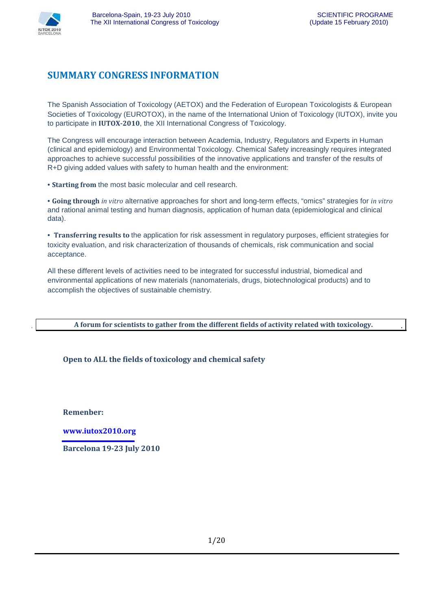

### **SUMMARY CONGRESS INFORMATION**

The Spanish Association of Toxicology (AETOX) and the Federation of European Toxicologists & European Societies of Toxicology (EUROTOX), in the name of the International Union of Toxicology (IUTOX), invite you to participate in **IUTOX-2010**, the XII International Congress of Toxicology.

The Congress will encourage interaction between Academia, Industry, Regulators and Experts in Human (clinical and epidemiology) and Environmental Toxicology. Chemical Safety increasingly requires integrated approaches to achieve successful possibilities of the innovative applications and transfer of the results of R+D giving added values with safety to human health and the environment:

• **Starting from** the most basic molecular and cell research.

• **Going through** *in vitro* alternative approaches for short and long-term effects, "omics" strategies for *in vitro* and rational animal testing and human diagnosis, application of human data (epidemiological and clinical data).

• **Transferring results to** the application for risk assessment in regulatory purposes, efficient strategies for toxicity evaluation, and risk characterization of thousands of chemicals, risk communication and social acceptance.

All these different levels of activities need to be integrated for successful industrial, biomedical and environmental applications of new materials (nanomaterials, drugs, biotechnological products) and to accomplish the objectives of sustainable chemistry.

**A forum for scientists to gather from the different fields of activity related with toxicology.**

#### **Open to ALL the fields of toxicology and chemical safety**

**Remenber:**

**www.iutox2010.org**

**Barcelona 19-23 July 2010**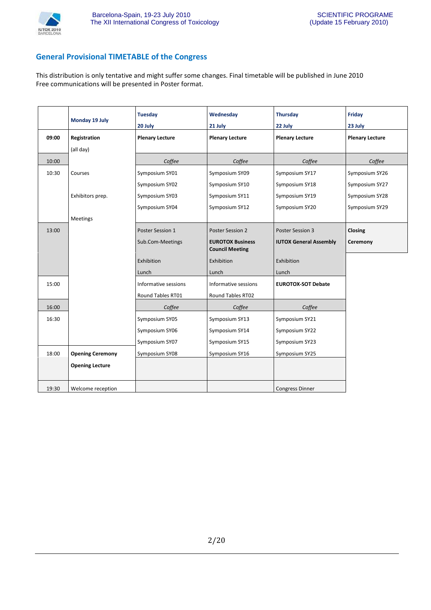

#### **General Provisional TIMETABLE of the Congress**

This distribution is only tentative and might suffer some changes. Final timetable will be published in June 2010 Free communications will be presented in Poster format.

|       | Monday 19 July          | <b>Tuesday</b><br>20 July | Wednesday<br>21 July                              | <b>Thursday</b><br>22 July    | Friday<br>23 July      |
|-------|-------------------------|---------------------------|---------------------------------------------------|-------------------------------|------------------------|
| 09:00 | Registration            | <b>Plenary Lecture</b>    | <b>Plenary Lecture</b>                            | <b>Plenary Lecture</b>        | <b>Plenary Lecture</b> |
|       | (all day)               |                           |                                                   |                               |                        |
| 10:00 |                         | Coffee                    | Coffee                                            | Coffee                        | Coffee                 |
| 10:30 | Courses                 | Symposium SY01            | Symposium SY09                                    | Symposium SY17                | Symposium SY26         |
|       |                         | Symposium SY02            | Symposium SY10                                    | Symposium SY18                | Symposium SY27         |
|       | Exhibitors prep.        | Symposium SY03            | Symposium SY11                                    | Symposium SY19                | Symposium SY28         |
|       |                         | Symposium SY04            | Symposium SY12                                    | Symposium SY20                | Symposium SY29         |
|       | Meetings                |                           |                                                   |                               |                        |
| 13:00 |                         | Poster Session 1          | Poster Session 2                                  | Poster Session 3              | Closing                |
|       |                         | Sub.Com-Meetings          | <b>EUROTOX Business</b><br><b>Council Meeting</b> | <b>IUTOX General Assembly</b> | Ceremony               |
|       |                         | Exhibition                | Exhibition                                        | Exhibition                    |                        |
|       |                         | Lunch                     | Lunch                                             | Lunch                         |                        |
| 15:00 |                         | Informative sessions      | Informative sessions                              | <b>EUROTOX-SOT Debate</b>     |                        |
|       |                         | Round Tables RT01         | Round Tables RT02                                 |                               |                        |
| 16:00 |                         | Coffee                    | Coffee                                            | Coffee                        |                        |
| 16:30 |                         | Symposium SY05            | Symposium SY13                                    | Symposium SY21                |                        |
|       |                         | Symposium SY06            | Symposium SY14                                    | Symposium SY22                |                        |
|       |                         | Symposium SY07            | Symposium SY15                                    | Symposium SY23                |                        |
| 18:00 | <b>Opening Ceremony</b> | Symposium SY08            | Symposium SY16                                    | Symposium SY25                |                        |
|       | <b>Opening Lecture</b>  |                           |                                                   |                               |                        |
| 19:30 | Welcome reception       |                           |                                                   | <b>Congress Dinner</b>        |                        |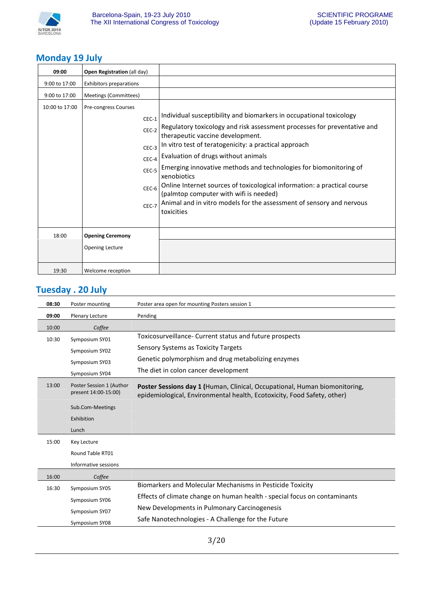

### **Monday 19 July**

| 09:00          | Open Registration (all day)                                                             |                                                                                                                                                                                                                                                                                                                                                                                                                                                                                                                                                                                     |
|----------------|-----------------------------------------------------------------------------------------|-------------------------------------------------------------------------------------------------------------------------------------------------------------------------------------------------------------------------------------------------------------------------------------------------------------------------------------------------------------------------------------------------------------------------------------------------------------------------------------------------------------------------------------------------------------------------------------|
| 9:00 to 17:00  | <b>Exhibitors preparations</b>                                                          |                                                                                                                                                                                                                                                                                                                                                                                                                                                                                                                                                                                     |
| 9:00 to 17:00  | Meetings (Committees)                                                                   |                                                                                                                                                                                                                                                                                                                                                                                                                                                                                                                                                                                     |
| 10:00 to 17:00 | Pre-congress Courses<br>$CEC-1$<br>CEC-2<br>CEC-3<br>CEC-4<br>CEC-5<br>$CEC-6$<br>CEC-7 | Individual susceptibility and biomarkers in occupational toxicology<br>Regulatory toxicology and risk assessment processes for preventative and<br>therapeutic vaccine development.<br>In vitro test of teratogenicity: a practical approach<br>Evaluation of drugs without animals<br>Emerging innovative methods and technologies for biomonitoring of<br>xenobiotics<br>Online Internet sources of toxicological information: a practical course<br>(palmtop computer with wifi is needed)<br>Animal and in vitro models for the assessment of sensory and nervous<br>toxicities |
| 18:00          | <b>Opening Ceremony</b>                                                                 |                                                                                                                                                                                                                                                                                                                                                                                                                                                                                                                                                                                     |
|                | Opening Lecture                                                                         |                                                                                                                                                                                                                                                                                                                                                                                                                                                                                                                                                                                     |
| 19:30          | Welcome reception                                                                       |                                                                                                                                                                                                                                                                                                                                                                                                                                                                                                                                                                                     |

### **Tuesday . 20 July**

| 08:30 | Poster mounting                                  | Poster area open for mounting Posters session 1                                                                                                              |
|-------|--------------------------------------------------|--------------------------------------------------------------------------------------------------------------------------------------------------------------|
| 09:00 | Plenary Lecture                                  | Pending                                                                                                                                                      |
| 10:00 | Coffee                                           |                                                                                                                                                              |
| 10:30 | Symposium SY01                                   | Toxicosurveillance- Current status and future prospects                                                                                                      |
|       | Symposium SY02                                   | Sensory Systems as Toxicity Targets                                                                                                                          |
|       | Symposium SY03                                   | Genetic polymorphism and drug metabolizing enzymes                                                                                                           |
|       | Symposium SY04                                   | The diet in colon cancer development                                                                                                                         |
| 13:00 | Poster Session 1 (Author<br>present 14:00-15:00) | <b>Poster Sessions day 1 (Human, Clinical, Occupational, Human biomonitoring,</b><br>epidemiological, Environmental health, Ecotoxicity, Food Safety, other) |
|       | Sub.Com-Meetings                                 |                                                                                                                                                              |
|       | Exhibition                                       |                                                                                                                                                              |
|       | Lunch                                            |                                                                                                                                                              |
| 15:00 | Key Lecture                                      |                                                                                                                                                              |
|       | Round Table RT01                                 |                                                                                                                                                              |
|       | Informative sessions                             |                                                                                                                                                              |
| 16:00 | Coffee                                           |                                                                                                                                                              |
| 16:30 | Symposium SY05                                   | Biomarkers and Molecular Mechanisms in Pesticide Toxicity                                                                                                    |
|       | Symposium SY06                                   | Effects of climate change on human health - special focus on contaminants                                                                                    |
|       | Symposium SY07                                   | New Developments in Pulmonary Carcinogenesis                                                                                                                 |
|       | Symposium SY08                                   | Safe Nanotechnologies - A Challenge for the Future                                                                                                           |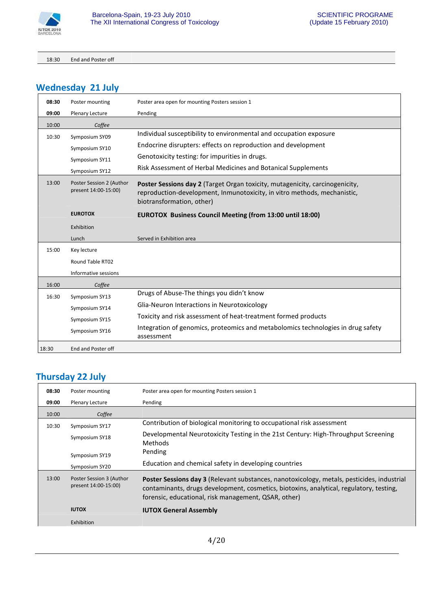

18:30 End and Poster off

# **Wednesday 21 July**

| 08:30 | Poster mounting                                  | Poster area open for mounting Posters session 1                                                                                                                                       |
|-------|--------------------------------------------------|---------------------------------------------------------------------------------------------------------------------------------------------------------------------------------------|
| 09:00 | Plenary Lecture                                  | Pending                                                                                                                                                                               |
| 10:00 | Coffee                                           |                                                                                                                                                                                       |
| 10:30 | Symposium SY09                                   | Individual susceptibility to environmental and occupation exposure                                                                                                                    |
|       | Symposium SY10                                   | Endocrine disrupters: effects on reproduction and development                                                                                                                         |
|       | Symposium SY11                                   | Genotoxicity testing: for impurities in drugs.                                                                                                                                        |
|       | Symposium SY12                                   | Risk Assessment of Herbal Medicines and Botanical Supplements                                                                                                                         |
| 13:00 | Poster Session 2 (Author<br>present 14:00-15:00) | Poster Sessions day 2 (Target Organ toxicity, mutagenicity, carcinogenicity,<br>reproduction-development, Inmunotoxicity, in vitro methods, mechanistic,<br>biotransformation, other) |
|       | <b>EUROTOX</b>                                   | <b>EUROTOX Business Council Meeting (from 13:00 until 18:00)</b>                                                                                                                      |
|       | Exhibition                                       |                                                                                                                                                                                       |
|       | Lunch                                            | Served in Exhibition area                                                                                                                                                             |
| 15:00 | Key lecture                                      |                                                                                                                                                                                       |
|       | Round Table RT02                                 |                                                                                                                                                                                       |
|       | Informative sessions                             |                                                                                                                                                                                       |
| 16:00 | Coffee                                           |                                                                                                                                                                                       |
| 16:30 | Symposium SY13                                   | Drugs of Abuse-The things you didn't know                                                                                                                                             |
|       | Symposium SY14                                   | Glia-Neuron Interactions in Neurotoxicology                                                                                                                                           |
|       | Symposium SY15                                   | Toxicity and risk assessment of heat-treatment formed products                                                                                                                        |
|       | Symposium SY16                                   | Integration of genomics, proteomics and metabolomics technologies in drug safety<br>assessment                                                                                        |
| 18:30 | End and Poster off                               |                                                                                                                                                                                       |

### **Thursday 22 July**

| 08:30 | Poster mounting                                  | Poster area open for mounting Posters session 1                                                                                                                                                                                                      |
|-------|--------------------------------------------------|------------------------------------------------------------------------------------------------------------------------------------------------------------------------------------------------------------------------------------------------------|
| 09:00 | Plenary Lecture                                  | Pending                                                                                                                                                                                                                                              |
| 10:00 | Coffee                                           |                                                                                                                                                                                                                                                      |
| 10:30 | Symposium SY17                                   | Contribution of biological monitoring to occupational risk assessment                                                                                                                                                                                |
|       | Symposium SY18                                   | Developmental Neurotoxicity Testing in the 21st Century: High-Throughput Screening<br><b>Methods</b>                                                                                                                                                 |
|       | Symposium SY19                                   | Pending                                                                                                                                                                                                                                              |
|       | Symposium SY20                                   | Education and chemical safety in developing countries                                                                                                                                                                                                |
| 13:00 | Poster Session 3 (Author<br>present 14:00-15:00) | <b>Poster Sessions day 3 (Relevant substances, nanotoxicology, metals, pesticides, industrial</b><br>contaminants, drugs development, cosmetics, biotoxins, analytical, regulatory, testing,<br>forensic, educational, risk management, QSAR, other) |
|       | <b>IUTOX</b>                                     | <b>IUTOX General Assembly</b>                                                                                                                                                                                                                        |
|       | Exhibition                                       |                                                                                                                                                                                                                                                      |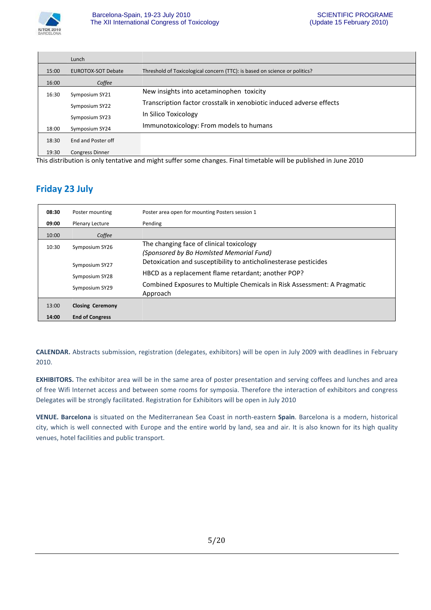

|       | Lunch                     |                                                                            |
|-------|---------------------------|----------------------------------------------------------------------------|
| 15:00 | <b>EUROTOX-SOT Debate</b> | Threshold of Toxicological concern (TTC): is based on science or politics? |
| 16:00 | Coffee                    |                                                                            |
| 16:30 | Symposium SY21            | New insights into acetaminophen toxicity                                   |
|       | Symposium SY22            | Transcription factor crosstalk in xenobiotic induced adverse effects       |
|       | Symposium SY23            | In Silico Toxicology                                                       |
| 18:00 | Symposium SY24            | Immunotoxicology: From models to humans                                    |
| 18:30 | End and Poster off        |                                                                            |
| 19:30 | <b>Congress Dinner</b>    |                                                                            |

This distribution is only tentative and might suffer some changes. Final timetable will be published in June 2010

## **Friday 23 July**

| 08:30 | Poster mounting         | Poster area open for mounting Posters session 1                                      |
|-------|-------------------------|--------------------------------------------------------------------------------------|
| 09:00 | Plenary Lecture         | Pending                                                                              |
| 10:00 | Coffee                  |                                                                                      |
| 10:30 | Symposium SY26          | The changing face of clinical toxicology<br>(Sponsored by Bo Homlsted Memorial Fund) |
|       | Symposium SY27          | Detoxication and susceptibility to anticholinesterase pesticides                     |
|       | Symposium SY28          | HBCD as a replacement flame retardant; another POP?                                  |
|       | Symposium SY29          | Combined Exposures to Multiple Chemicals in Risk Assessment: A Pragmatic<br>Approach |
| 13:00 | <b>Closing Ceremony</b> |                                                                                      |
| 14:00 | <b>End of Congress</b>  |                                                                                      |

**CALENDAR.** Abstracts submission, registration (delegates, exhibitors) will be open in July 2009 with deadlines in February 2010.

**EXHIBITORS.** The exhibitor area will be in the same area of poster presentation and serving coffees and lunches and area of free Wifi Internet access and between some rooms for symposia. Therefore the interaction of exhibitors and congress Delegates will be strongly facilitated. Registration for Exhibitors will be open in July 2010

**VENUE. Barcelona** is situated on the Mediterranean Sea Coast in north-eastern **Spain**. Barcelona is a modern, historical city, which is well connected with Europe and the entire world by land, sea and air. It is also known for its high quality venues, hotel facilities and public transport.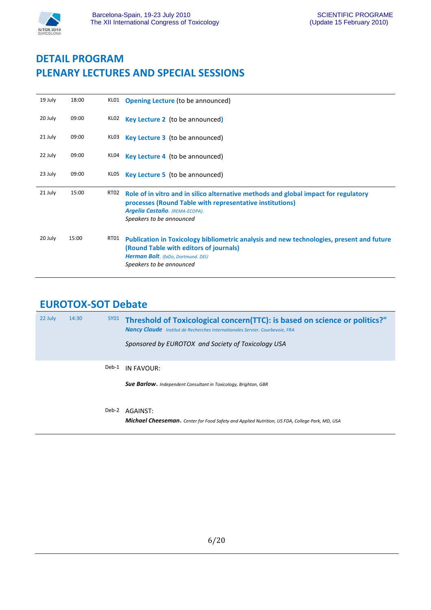

# **DETAIL PROGRAM PLENARY LECTURES AND SPECIAL SESSIONS**

| 19 July | 18:00 | KLO1 | <b>Opening Lecture (to be announced)</b>                                                                                                                                                                      |
|---------|-------|------|---------------------------------------------------------------------------------------------------------------------------------------------------------------------------------------------------------------|
| 20 July | 09:00 | KLO2 | Key Lecture 2 (to be announced)                                                                                                                                                                               |
| 21 July | 09:00 | KLO3 | <b>Key Lecture 3</b> (to be announced)                                                                                                                                                                        |
| 22 July | 09:00 | KL04 | <b>Key Lecture 4</b> (to be announced)                                                                                                                                                                        |
| 23 July | 09:00 | KLO5 | <b>Key Lecture 5</b> (to be announced)                                                                                                                                                                        |
| 21 July | 15:00 | RT02 | Role of in vitro and in silico alternative methods and global impact for regulatory<br>processes (Round Table with representative institutions)<br>Argelia Castaño. (REMA-ECOPA).<br>Speakers to be announced |
| 20 July |       |      |                                                                                                                                                                                                               |

## **EUROTOX-SOT Debate**

| 22 July | 14:30 |       | $SY01$ Threshold of Toxicological concern(TTC): is based on science or politics?"<br><b>Nancy Claude</b> Institut de Recherches Internationales Servier. Courbevoie, FRA<br>Sponsored by EUROTOX and Society of Toxicology USA |
|---------|-------|-------|--------------------------------------------------------------------------------------------------------------------------------------------------------------------------------------------------------------------------------|
|         |       | Deb-1 | IN FAVOUR:                                                                                                                                                                                                                     |
|         |       |       | <b>Sue Barlow.</b> Independent Consultant in Toxicology, Brighton, GBR                                                                                                                                                         |
|         |       | Deb-2 | AGAINST:                                                                                                                                                                                                                       |

*Michael Cheeseman***.** *Center for Food Safety and Applied Nutrition, US FDA, College Park, MD, USA*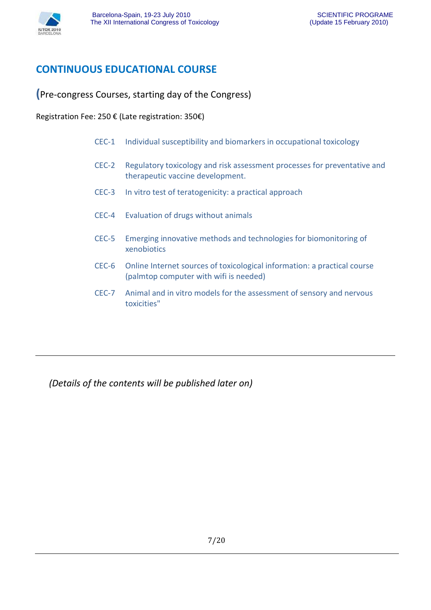

## **CONTINUOUS EDUCATIONAL COURSE**

**(**Pre-congress Courses, starting day of the Congress)

Registration Fee: 250 € (Late registration: 350€)

- CEC-1 Individual susceptibility and biomarkers in occupational toxicology
- CEC-2 Regulatory toxicology and risk assessment processes for preventative and therapeutic vaccine development.
- CEC-3 In vitro test of teratogenicity: a practical approach
- CEC-4 Evaluation of drugs without animals
- CEC-5 Emerging innovative methods and technologies for biomonitoring of xenobiotics
- CEC-6 Online Internet sources of toxicological information: a practical course (palmtop computer with wifi is needed)
- CEC-7 Animal and in vitro models for the assessment of sensory and nervous toxicities"

*(Details of the contents will be published later on)*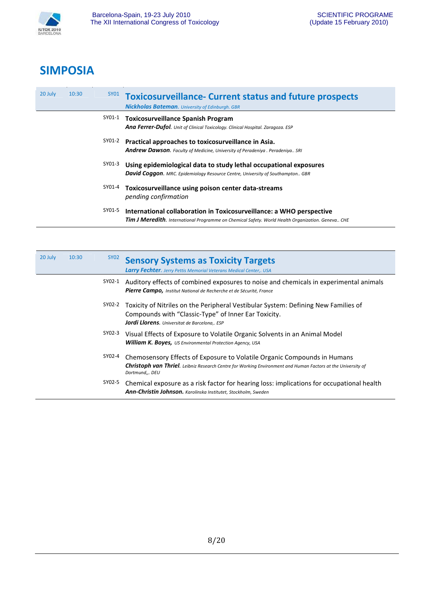

# **SIMPOSIA**

| 20 July | 10:30 |        | SY01 Toxicosurveillance- Current status and future prospects<br><b>Nickholas Bateman.</b> University of Edinburgh. GBR                                                           |
|---------|-------|--------|----------------------------------------------------------------------------------------------------------------------------------------------------------------------------------|
|         |       | SY01-1 | <b>Toxicosurveillance Spanish Program</b><br>Ana Ferrer-Dufol. Unit of Clinical Toxicology. Clinical Hospital. Zaragoza. ESP                                                     |
|         |       | SY01-2 | Practical approaches to toxicosurveillance in Asia.<br><b>Andrew Dawson.</b> Faculty of Medicine, University of Peradeniya. Peradeniya SRI                                       |
|         |       | SY01-3 | Using epidemiological data to study lethal occupational exposures<br><b>David Coggon.</b> MRC. Epidemiology Resource Centre, University of Southampton GBR                       |
|         |       | SY01-4 | Toxicosurveillance using poison center data-streams<br>pending confirmation                                                                                                      |
|         |       | SY01-5 | International collaboration in Toxicosurveillance: a WHO perspective<br><b>Tim J Meredith.</b> International Programme on Chemical Safety. World Health Organization. Geneva CHE |

| 20 July | 10:30 | SY02   | <b>Sensory Systems as Toxicity Targets</b><br><b>Larry Fechter.</b> Jerry Pettis Memorial Veterans Medical Center,. USA                                                                                            |
|---------|-------|--------|--------------------------------------------------------------------------------------------------------------------------------------------------------------------------------------------------------------------|
|         |       | SY02-1 | Auditory effects of combined exposures to noise and chemicals in experimental animals<br><b>Pierre Campo,</b> Institut National de Recherche et de Sécurité, France                                                |
|         |       | SY02-2 | Toxicity of Nitriles on the Peripheral Vestibular System: Defining New Families of<br>Compounds with "Classic-Type" of Inner Ear Toxicity.<br>Jordi Llorens. Universitat de Barcelona,. ESP                        |
|         |       | SY02-3 | Visual Effects of Exposure to Volatile Organic Solvents in an Animal Model<br><b>William K. Boyes, US Environmental Protection Agency, USA</b>                                                                     |
|         |       | SY02-4 | Chemosensory Effects of Exposure to Volatile Organic Compounds in Humans<br><b>Christoph van Thriel.</b> Leibniz Research Centre for Working Environment and Human Factors at the University of<br>Dortmund,,. DEU |
|         |       | SY02-5 | Chemical exposure as a risk factor for hearing loss: implications for occupational health<br><b>Ann-Christin Johnson.</b> Karolinska Institutet, Stockholm, Sweden                                                 |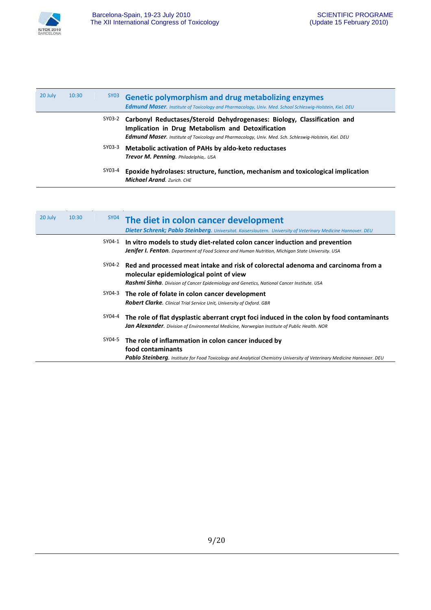

| 20 July | 10:30 | SY03   | <b>Genetic polymorphism and drug metabolizing enzymes</b><br><b>Edmund Maser.</b> Institute of Toxicology and Pharmacology, Univ. Med. School Schleswig-Holstein, Kiel. DEU                                                                  |
|---------|-------|--------|----------------------------------------------------------------------------------------------------------------------------------------------------------------------------------------------------------------------------------------------|
|         |       | SY03-2 | Carbonyl Reductases/Steroid Dehydrogenases: Biology, Classification and<br>Implication in Drug Metabolism and Detoxification<br><b>Edmund Maser.</b> Institute of Toxicology and Pharmacology, Univ. Med. Sch. Schleswig-Holstein, Kiel. DEU |
|         |       | SY03-3 | Metabolic activation of PAHs by aldo-keto reductases<br>Trevor M. Penning. Philadelphia,. USA                                                                                                                                                |
|         |       | SY03-4 | Epoxide hydrolases: structure, function, mechanism and toxicological implication<br><b>Michael Arand.</b> Zurich, CHE                                                                                                                        |

| 20 July | 10:30 |        | <sup>SY04</sup> The diet in colon cancer development<br>Dieter Schrenk; Pablo Steinberg. Universitat. Kaiserslautern. University of Veterinary Medicine Hannover. DEU                                                      |
|---------|-------|--------|----------------------------------------------------------------------------------------------------------------------------------------------------------------------------------------------------------------------------|
|         |       | SY04-1 | In vitro models to study diet-related colon cancer induction and prevention<br><b>Jenifer I. Fenton.</b> Department of Food Science and Human Nutrition, Michigan State University. USA                                    |
|         |       | SY04-2 | Red and processed meat intake and risk of colorectal adenoma and carcinoma from a<br>molecular epidemiological point of view<br>Rashmi Sinha. Division of Cancer Epidemiology and Genetics, National Cancer Institute. USA |
|         |       | SY04-3 | The role of folate in colon cancer development<br><b>Robert Clarke.</b> Clinical Trial Service Unit, University of Oxford. GBR                                                                                             |
|         |       | SY04-4 | The role of flat dysplastic aberrant crypt foci induced in the colon by food contaminants<br><b>Jan Alexander.</b> Division of Environmental Medicine, Norwegian Institute of Public Health. NOR                           |
|         |       | SY04-5 | The role of inflammation in colon cancer induced by<br>food contaminants<br><b>Pablo Steinberg.</b> Institute for Food Toxicology and Analytical Chemistry University of Veterinary Medicine Hannover. DEU                 |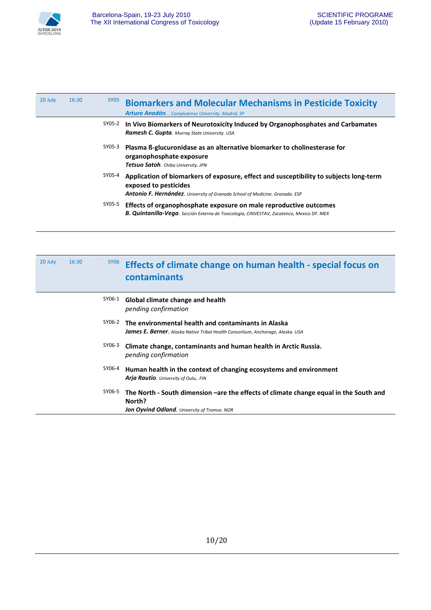

| 20 July | 16:30 | SY05   | <b>Biomarkers and Molecular Mechanisms in Pesticide Toxicity</b><br><b>Arturo Anadón.</b> . Complutense University. Madrid. SP                                                                  |
|---------|-------|--------|-------------------------------------------------------------------------------------------------------------------------------------------------------------------------------------------------|
|         |       | SY05-2 | In Vivo Biomarkers of Neurotoxicity Induced by Organophosphates and Carbamates<br><b>Ramesh C. Gupta.</b> Murray State University. USA                                                          |
|         |       | SY05-3 | Plasma B-glucuronidase as an alternative biomarker to cholinesterase for<br>organophosphate exposure<br>Tetsuo Satoh. Chiba University. JPN                                                     |
|         |       | SY05-4 | Application of biomarkers of exposure, effect and susceptibility to subjects long-term<br>exposed to pesticides<br>Antonio F. Hernández. University of Granada School of Medicine. Granada. ESP |
|         |       | SY05-5 | Effects of organophosphate exposure on male reproductive outcomes<br><b>B. Quintanilla-Vega.</b> Sección Externa de Toxicología, CINVESTAV, Zacatenco, Mexico DF. MEX                           |

| 20 July | 16:30 | SY06   | Effects of climate change on human health - special focus on<br>contaminants                                                                            |
|---------|-------|--------|---------------------------------------------------------------------------------------------------------------------------------------------------------|
|         |       | SY06-1 | Global climate change and health<br>pending confirmation                                                                                                |
|         |       | SY06-2 | The environmental health and contaminants in Alaska<br><b>James E. Berner.</b> Alaska Native Tribal Health Consortium, Anchorage, Alaska. USA           |
|         |       | SY06-3 | Climate change, contaminants and human health in Arctic Russia.<br>pending confirmation                                                                 |
|         |       | SY06-4 | Human health in the context of changing ecosystems and environment<br>Arja Rautio. University of Oulu,. FIN                                             |
|         |       | SY06-5 | The North - South dimension –are the effects of climate change equal in the South and<br>North?<br><b>Jon Oyvind Odland</b> . University of Tromso. NOR |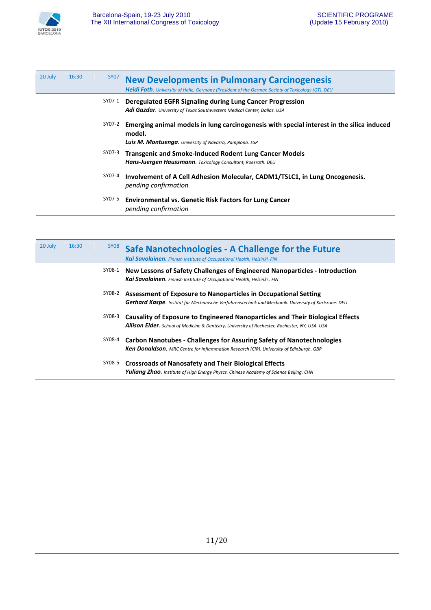

| 20 July | 16:30 | SY07   | <b>New Developments in Pulmonary Carcinogenesis</b><br><b>Heidi Foth.</b> University of Halle, Germany (President of the German Society of Toxicology (GT). DEU        |
|---------|-------|--------|------------------------------------------------------------------------------------------------------------------------------------------------------------------------|
|         |       | SY07-1 | Deregulated EGFR Signaling during Lung Cancer Progression<br><b>Adi Gazdar.</b> University of Texas Southwestern Medical Center, Dallas. USA                           |
|         |       | SY07-2 | Emerging animal models in lung carcinogenesis with special interest in the silica induced<br>model.<br><b>Luis M. Montuenga</b> . University of Navarra, Pamplona. ESP |
|         |       | SY07-3 | <b>Transgenic and Smoke-Induced Rodent Lung Cancer Models</b><br>Hans-Juergen Haussmann. Toxicology Consultant, Roesrath. DEU                                          |
|         |       | SY07-4 | Involvement of A Cell Adhesion Molecular, CADM1/TSLC1, in Lung Oncogenesis.<br>pending confirmation                                                                    |
|         |       | SY07-5 | <b>Environmental vs. Genetic Risk Factors for Lung Cancer</b><br>pending confirmation                                                                                  |

| 20 July | 16:30 | SY <sub>08</sub> | Safe Nanotechnologies - A Challenge for the Future<br>Kai Savolainen. Finnish Institute of Occupational Health, Helsinki. FIN                                                            |
|---------|-------|------------------|------------------------------------------------------------------------------------------------------------------------------------------------------------------------------------------|
|         |       | SY08-1           | New Lessons of Safety Challenges of Engineered Nanoparticles - Introduction<br><b>Kai Savolainen.</b> Finnish Institute of Occupational Health, Helsinki FIN                             |
|         |       | SY08-2           | Assessment of Exposure to Nanoparticles in Occupational Setting<br><b>Gerhard Kaspe.</b> Institut für Mechanische Verfahrenstechnik und Mechanik. University of Karlsruhe. DEU           |
|         |       | SY08-3           | Causality of Exposure to Engineered Nanoparticles and Their Biological Effects<br><b>Allison Elder.</b> School of Medicine & Dentistry, University of Rochester, Rochester, NY, USA. USA |
|         |       | SY08-4           | <b>Carbon Nanotubes - Challenges for Assuring Safety of Nanotechnologies</b><br><b>Ken Donaldson.</b> MRC Centre for Inflammation Research (CIR). University of Edinburgh. GBR           |
|         |       | SY08-5           | <b>Crossroads of Nanosafety and Their Biological Effects</b><br><b>Yuliang Zhao.</b> Institute of High Energy Physcs. Chinese Academy of Science Beijing. CHN                            |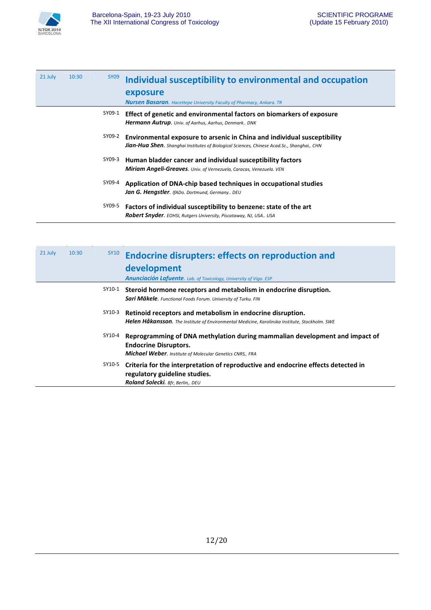

| 21 July | 10:30 | SY09   | Individual susceptibility to environmental and occupation<br>exposure<br><b>Nursen Basaran.</b> Hacettepe University Faculty of Pharmacy, Ankara. TR                            |
|---------|-------|--------|---------------------------------------------------------------------------------------------------------------------------------------------------------------------------------|
|         |       | SY09-1 | Effect of genetic and environmental factors on biomarkers of exposure<br>Hermann Autrup. Univ. of Aarhus, Aarhus, Denmark DNK                                                   |
|         |       | SY09-2 | Environmental exposure to arsenic in China and individual susceptibility<br><b>Jian-Hua Shen.</b> Shanghai Institutes of Biological Sciences, Chinese Acad. Sc., Shanghai,. CHN |
|         |       | SY09-3 | Human bladder cancer and individual susceptibility factors<br><b>Miriam Angeli-Greaves.</b> Univ. of Vernezuela, Caracas, Venezuela. VEN                                        |
|         |       | SY09-4 | Application of DNA-chip based techniques in occupational studies<br>Jan G. Hengstler. IfADo. Dortmund, Germany DEU                                                              |
|         |       | SY09-5 | Factors of individual susceptibility to benzene: state of the art<br><b>Robert Snyder.</b> EOHSI, Rutgers University, Piscataway, NJ, USA USA                                   |

| 21 July | 10:30 | SY10   | <b>Endocrine disrupters: effects on reproduction and</b><br>development<br><b>Anunciación Lafuente.</b> Lab. of Toxicology, University of Vigo. ESP                             |
|---------|-------|--------|---------------------------------------------------------------------------------------------------------------------------------------------------------------------------------|
|         |       | SY10-1 | Steroid hormone receptors and metabolism in endocrine disruption.<br><b>Sari Mäkele.</b> Functional Foods Forum. University of Turku. FIN                                       |
|         |       | SY10-3 | Retinoid receptors and metabolism in endocrine disruption.<br><b>Helen Håkansson</b> . The Institute of Environmental Medicine, Karolinska Institute, Stockholm. SWE            |
|         |       | SY10-4 | Reprogramming of DNA methylation during mammalian development and impact of<br><b>Endocrine Disruptors.</b><br><b>Michael Weber.</b> Institute of Molecular Genetics CNRS,. FRA |
|         |       | SY10-5 | Criteria for the interpretation of reproductive and endocrine effects detected in<br>regulatory guideline studies.<br>Roland Solecki. Bfr, Berlin,. DEU                         |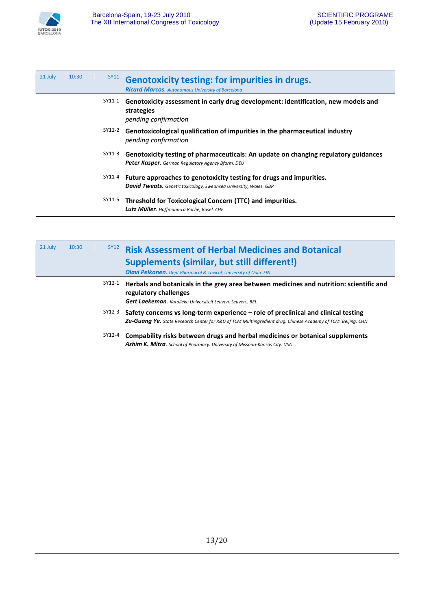

| 21 July | 10:30 | SY11   | <b>Genotoxicity testing: for impurities in drugs.</b><br><b>Ricard Marcos.</b> Autonomous University of Barcelona                               |
|---------|-------|--------|-------------------------------------------------------------------------------------------------------------------------------------------------|
|         |       | SY11-1 | Genotoxicity assessment in early drug development: identification, new models and<br>strategies<br>pending confirmation                         |
|         |       | SY11-2 | Genotoxicological qualification of impurities in the pharmaceutical industry<br>pending confirmation                                            |
|         |       | SY11-3 | Genotoxicity testing of pharmaceuticals: An update on changing regulatory guidances<br><b>Peter Kasper.</b> German Regulatory Agency Bfarm. DEU |
|         |       | SY11-4 | Future approaches to genotoxicity testing for drugs and impurities.<br><b>David Tweats.</b> Genetic toxicology, Sweansea University, Wales. GBR |
|         |       | SY11-5 | Threshold for Toxicological Concern (TTC) and impurities.<br>Lutz Müller. Hoffmann-La Roche, Basel. CHE                                         |

| 21 July | 10:30 | <b>SY12</b> | <b>Risk Assessment of Herbal Medicines and Botanical</b><br><b>Supplements (similar, but still different!)</b><br><b>Olavi Pelkonen.</b> Dept Pharmacol & Toxicol, University of Oulu. FIN                |
|---------|-------|-------------|-----------------------------------------------------------------------------------------------------------------------------------------------------------------------------------------------------------|
|         |       | SY12-1      | Herbals and botanicals in the grey area between medicines and nutrition: scientific and<br>regulatory challenges<br>Gert Laekeman. Katolieke Universiteit Leuven. Leuven,. BEL                            |
|         |       | SY12-3      | Safety concerns vs long-term experience – role of preclinical and clinical testing<br><b>Zu-Guang Ye.</b> State Research Center for R&D of TCM Multiingredient drug. Chinese Academy of TCM. Beijing. CHN |
|         |       | SY12-4      | Compability risks between drugs and herbal medicines or botanical supplements<br><b>Ashim K. Mitra.</b> School of Pharmacy. University of Missouri-Kansas City. USA                                       |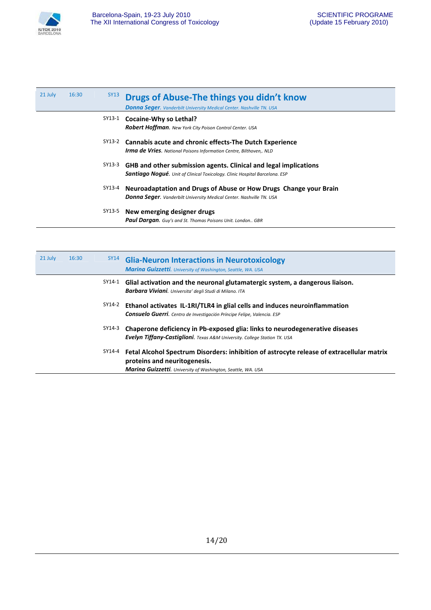

| 21 July | 16:30 | SY13   | Drugs of Abuse-The things you didn't know<br><b>Donna Seger.</b> Vanderbilt University Medical Center. Nashville TN. USA                               |
|---------|-------|--------|--------------------------------------------------------------------------------------------------------------------------------------------------------|
|         |       | SY13-1 | Cocaine-Why so Lethal?<br><b>Robert Hoffman.</b> New York City Poison Control Center. USA                                                              |
|         |       | SY13-2 | Cannabis acute and chronic effects-The Dutch Experience<br><b>Irma de Vries.</b> National Poisons Information Centre, Bilthoven,. NLD                  |
|         |       | SY13-3 | GHB and other submission agents. Clinical and legal implications<br><b>Santiago Nogué.</b> Unit of Clinical Toxicology. Clinic Hospital Barcelona. ESP |
|         |       | SY13-4 | Neuroadaptation and Drugs of Abuse or How Drugs Change your Brain<br><b>Donna Seger.</b> Vanderbilt University Medical Center. Nashville TN. USA       |
|         |       | SY13-5 | New emerging designer drugs<br><b>Paul Dargan.</b> Guy's and St. Thomas Poisons Unit. London GBR                                                       |

| 21 July | 16:30 | SY14   | <b>Glia-Neuron Interactions in Neurotoxicology</b><br><b>Marina Guizzetti.</b> University of Washington, Seattle, WA. USA                                                                        |
|---------|-------|--------|--------------------------------------------------------------------------------------------------------------------------------------------------------------------------------------------------|
|         |       | SY14-1 | Glial activation and the neuronal glutamatergic system, a dangerous liaison.<br>Barbara Viviani. Universita' degli Studi di Milano. ITA                                                          |
|         |       | SY14-2 | Ethanol activates IL-1RI/TLR4 in glial cells and induces neuroinflammation<br><b>Consuelo Guerri.</b> Centro de Investigación Príncipe Felipe, Valencia. ESP                                     |
|         |       | SY14-3 | Chaperone deficiency in Pb-exposed glia: links to neurodegenerative diseases<br><b>Evelyn Tiffany-Castiglioni.</b> Texas A&M University. College Station TX. USA                                 |
|         |       | SY14-4 | Fetal Alcohol Spectrum Disorders: inhibition of astrocyte release of extracellular matrix<br>proteins and neuritogenesis.<br><b>Marina Guizzetti.</b> University of Washington, Seattle, WA. USA |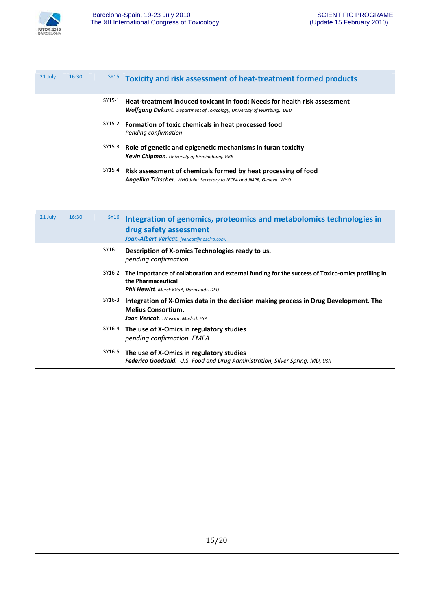

| 21 July | 16:30 | SY15   | Toxicity and risk assessment of heat-treatment formed products                                                                                             |
|---------|-------|--------|------------------------------------------------------------------------------------------------------------------------------------------------------------|
|         |       | SY15-1 | Heat-treatment induced toxicant in food: Needs for health risk assessment<br><b>Wolfgang Dekant.</b> Department of Toxicology, University of Würzburg, DEU |
|         |       | SY15-2 | Formation of toxic chemicals in heat processed food<br>Pending confirmation                                                                                |
|         |       | SY15-3 | Role of genetic and epigenetic mechanisms in furan toxicity<br><b>Kevin Chipman.</b> University of Birminghami. GBR                                        |
|         |       | SY15-4 | Risk assessment of chemicals formed by heat processing of food<br><b>Angelika Tritscher.</b> WHO Joint Secretary to JECFA and JMPR, Geneva. WHO            |

| 21 July | 16:30 | <b>SY16</b> | Integration of genomics, proteomics and metabolomics technologies in<br>drug safety assessment<br>Joan-Albert Vericat. ivericat@noscira.com.                       |
|---------|-------|-------------|--------------------------------------------------------------------------------------------------------------------------------------------------------------------|
|         |       | SY16-1      | Description of X-omics Technologies ready to us.<br>pending confirmation                                                                                           |
|         |       | SY16-2      | The importance of collaboration and external funding for the success of Toxico-omics profiling in<br>the Pharmaceutical<br>Phil Hewitt. Merck KGaA, Darmstadt. DEU |
|         |       | SY16-3      | Integration of X-Omics data in the decision making process in Drug Development. The<br><b>Melius Consortium.</b><br><b>Joan Vericat.</b> Noscira. Madrid. ESP      |
|         |       | SY16-4      | The use of X-Omics in regulatory studies<br>pending confirmation. EMEA                                                                                             |
|         |       | SY16-5      | The use of X-Omics in regulatory studies<br><b>Federico Goodsaid.</b> U.S. Food and Drug Administration, Silver Spring, MD, usa                                    |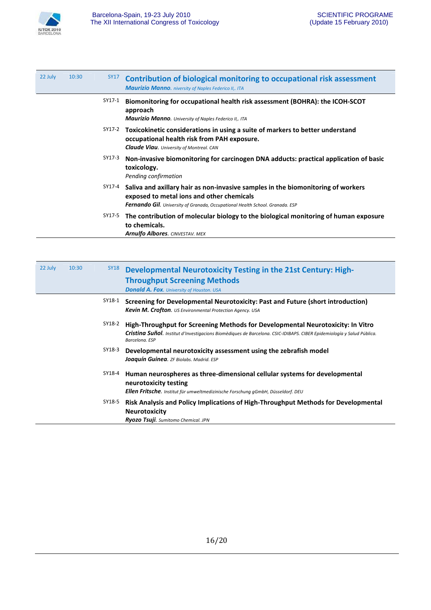

| 22 July | 10:30 | <b>SY17</b> | Contribution of biological monitoring to occupational risk assessment<br><b>Maurizio Manno.</b> niversity of Naples Federico II,. ITA                                                                                 |
|---------|-------|-------------|-----------------------------------------------------------------------------------------------------------------------------------------------------------------------------------------------------------------------|
|         |       | SY17-1      | Biomonitoring for occupational health risk assessment (BOHRA): the ICOH-SCOT<br>approach<br><b>Maurizio Manno.</b> University of Naples Federico II,. ITA                                                             |
|         |       | SY17-2      | Toxicokinetic considerations in using a suite of markers to better understand<br>occupational health risk from PAH exposure.<br><b>Claude Viau.</b> University of Montreal. CAN                                       |
|         |       | SY17-3      | Non-invasive biomonitoring for carcinogen DNA adducts: practical application of basic<br>toxicology.<br>Pending confirmation                                                                                          |
|         |       | SY17-4      | Saliva and axillary hair as non-invasive samples in the biomonitoring of workers<br>exposed to metal ions and other chemicals<br><b>Fernando Gil.</b> University of Granada, Occupational Health School. Granada. ESP |
|         |       | SY17-5      | The contribution of molecular biology to the biological monitoring of human exposure<br>to chemicals.<br><b>Arnulfo Albores.</b> CINVESTAV. MEX                                                                       |

| 22 July | 10:30 | <b>SY18</b> | Developmental Neurotoxicity Testing in the 21st Century: High-<br><b>Throughput Screening Methods</b><br><b>Donald A. Fox.</b> University of Houston. USA                                                                   |
|---------|-------|-------------|-----------------------------------------------------------------------------------------------------------------------------------------------------------------------------------------------------------------------------|
|         |       | SY18-1      | Screening for Developmental Neurotoxicity: Past and Future (short introduction)<br>Kevin M. Crofton. US Environmental Protection Agency. USA                                                                                |
|         |       | SY18-2      | High-Throughput for Screening Methods for Developmental Neurotoxicity: In Vitro<br>Cristina Suñol. Institut d'Investigacions Biomèdiques de Barcelona. CSIC-IDIBAPS. CIBER Epidemiología y Salud Pública.<br>Barcelona, ESP |
|         |       | SY18-3      | Developmental neurotoxicity assessment using the zebrafish model<br>Joaquín Guinea. ZF Biolabs. Madrid. ESP                                                                                                                 |
|         |       | SY18-4      | Human neurospheres as three-dimensional cellular systems for developmental<br>neurotoxicity testing<br><b>Ellen Fritsche</b> . Institut für umweltmedizinische Forschung gGmbH, Düsseldorf. DEU                             |
|         |       | SY18-5      | Risk Analysis and Policy Implications of High-Throughput Methods for Developmental<br><b>Neurotoxicity</b><br>Ryozo Tsuji. Sumitomo Chemical. JPN                                                                           |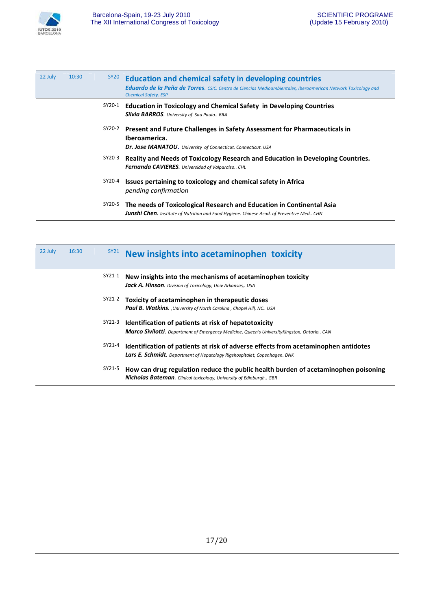

| 22 July | 10:30 | SY <sub>20</sub> | <b>Education and chemical safety in developing countries</b><br>Eduardo de la Peña de Torres. CSIC. Centro de Ciencias Medioambientales, Iberoamerican Network Toxicology and<br><b>Chemical Safety. ESP</b> |
|---------|-------|------------------|--------------------------------------------------------------------------------------------------------------------------------------------------------------------------------------------------------------|
|         |       | SY20-1           | <b>Education in Toxicology and Chemical Safety in Developing Countries</b><br><b>Silvia BARROS.</b> University of Sau Paulo BRA                                                                              |
|         |       | SY20-2           | Present and Future Challenges in Safety Assessment for Pharmaceuticals in<br>Iberoamerica.<br>Dr. Jose MANATOU. University of Connecticut. Connecticut. USA                                                  |
|         |       | SY20-3           | Reality and Needs of Toxicology Research and Education in Developing Countries.<br><b>Fernanda CAVIERES.</b> Universidad of Valparaiso CHL                                                                   |
|         |       | SY20-4           | Issues pertaining to toxicology and chemical safety in Africa<br>pending confirmation                                                                                                                        |
|         |       | SY20-5           | The needs of Toxicological Research and Education in Continental Asia<br><b>Junshi Chen.</b> Institute of Nutrition and Food Hygiene. Chinese Acad. of Preventive Med CHN                                    |

| 22 July | 16:30 | SY21   | New insights into acetaminophen toxicity                                                                                                                                |
|---------|-------|--------|-------------------------------------------------------------------------------------------------------------------------------------------------------------------------|
|         |       | SY21-1 | New insights into the mechanisms of acetaminophen toxicity<br><b>Jack A. Hinson.</b> Division of Toxicology, Univ Arkansas,. USA                                        |
|         |       | SY21-2 | Toxicity of acetaminophen in therapeutic doses<br><b>Paul B. Watkins.</b> , University of North Carolina, Chapel Hill, NC., USA                                         |
|         |       | SY21-3 | Identification of patients at risk of hepatotoxicity<br><b>Marco Sivilotti</b> . Department of Emergency Medicine, Queen's University Kingston, Ontario CAN             |
|         |       | SY21-4 | Identification of patients at risk of adverse effects from acetaminophen antidotes<br><b>Lars E. Schmidt</b> . Department of Hepatology Rigshospitalet, Copenhagen. DNK |
|         |       | SY21-5 | How can drug regulation reduce the public health burden of acetaminophen poisoning<br><b>Nicholas Bateman.</b> Clinical toxicology, University of Edinburgh GBR         |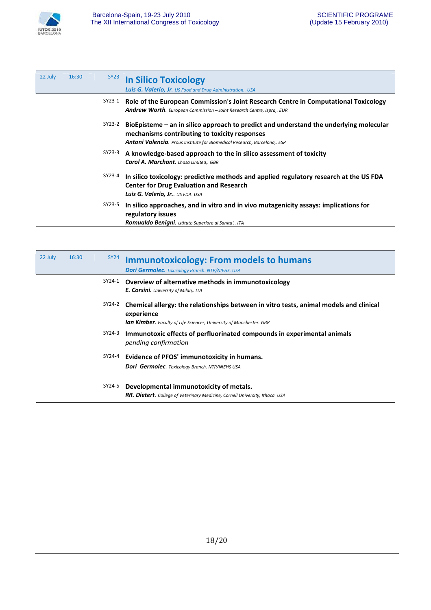

| 22 July | 16:30 | SY <sub>23</sub> | <b>In Silico Toxicology</b><br><b>Luis G. Valerio, Jr.</b> US Food and Drug Administration USA                                                                                                                       |
|---------|-------|------------------|----------------------------------------------------------------------------------------------------------------------------------------------------------------------------------------------------------------------|
|         |       | SY23-1           | Role of the European Commission's Joint Research Centre in Computational Toxicology<br><b>Andrew Worth.</b> European Commission – Joint Research Centre, Ispra,. EUR                                                 |
|         |       | SY23-2           | BioEpisteme – an in silico approach to predict and understand the underlying molecular<br>mechanisms contributing to toxicity responses<br>Antoni Valencia. Prous Institute for Biomedical Research, Barcelona,. ESP |
|         |       | SY23-3           | A knowledge-based approach to the in silico assessment of toxicity<br><b>Carol A. Marchant.</b> Lhasa Limited,. GBR                                                                                                  |
|         |       | SY23-4           | In silico toxicology: predictive methods and applied regulatory research at the US FDA<br><b>Center for Drug Evaluation and Research</b><br>Luis G. Valerio, Jr US FDA. USA                                          |
|         |       | SY23-5           | In silico approaches, and in vitro and in vivo mutagenicity assays: implications for<br>regulatory issues<br><b>Romualdo Benigni.</b> Istituto Superiore di Sanita',. ITA                                            |

| 22 July | 16:30 | <b>SY24</b> | <b>Immunotoxicology: From models to humans</b><br><b>Dori Germolec.</b> Toxicology Branch. NTP/NIEHS. USA                                                                          |
|---------|-------|-------------|------------------------------------------------------------------------------------------------------------------------------------------------------------------------------------|
|         |       | SY24-1      | Overview of alternative methods in immunotoxicology<br>E. Corsini. University of Milan,. ITA                                                                                       |
|         |       | SY24-2      | Chemical allergy: the relationships between in vitro tests, animal models and clinical<br>experience<br><b>lan Kimber.</b> Faculty of Life Sciences, University of Manchester. GBR |
|         |       | SY24-3      | Immunotoxic effects of perfluorinated compounds in experimental animals<br>pending confirmation                                                                                    |
|         |       | SY24-4      | Evidence of PFOS' immunotoxicity in humans.<br><b>Dori Germolec.</b> Toxicology Branch. NTP/NIEHS USA                                                                              |
|         |       | SY24-5      | Developmental immunotoxicity of metals.<br><b>RR. Dietert.</b> College of Veterinary Medicine, Cornell University, Ithaca. USA                                                     |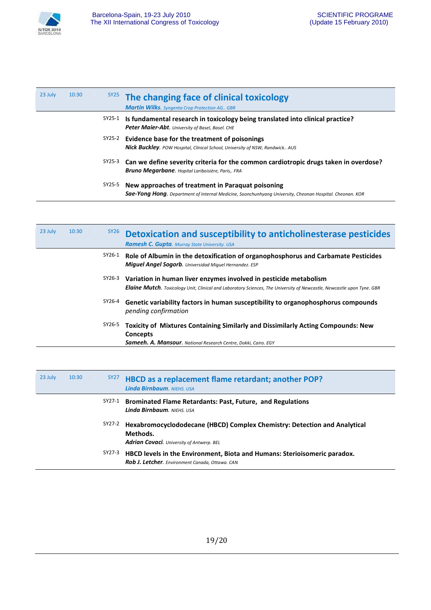

| 23 July | 10:30 |        | <sup>SY25</sup> The changing face of clinical toxicology<br><b>Martin Wilks.</b> Syngenta Crop Protection AG GBR                                                     |
|---------|-------|--------|----------------------------------------------------------------------------------------------------------------------------------------------------------------------|
|         |       | SY25-1 | Is fundamental research in toxicology being translated into clinical practice?<br>Peter Maier-Abt. University of Basel, Basel. CHE                                   |
|         |       |        | $5Y25-2$ Evidence base for the treatment of poisonings<br><b>Nick Buckley.</b> POW Hospital, Clinical School, University of NSW, Randwick AUS                        |
|         |       | SY25-3 | Can we define severity criteria for the common cardiotropic drugs taken in overdose?<br><b>Bruno Megarbane.</b> Hopital Lariboisière, Paris,. FRA                    |
|         |       | SY25-5 | New approaches of treatment in Paraguat poisoning<br><b>Sae-Yong Hong.</b> Department of Internal Medicine, Soonchunhyang University, Cheonan Hospital. Cheonan. KOR |

| 23 July | 10:30 | SY26   | Detoxication and susceptibility to anticholinesterase pesticides<br><b>Ramesh C. Gupta.</b> Murray State University. USA                                                                           |
|---------|-------|--------|----------------------------------------------------------------------------------------------------------------------------------------------------------------------------------------------------|
|         |       | SY26-1 | Role of Albumin in the detoxification of organophosphorus and Carbamate Pesticides<br><b>Miquel Angel Sogorb.</b> Universidad Miguel Hernandez. ESP                                                |
|         |       | SY26-3 | Variation in human liver enzymes involved in pesticide metabolism<br><b>Elaine Mutch.</b> Toxicology Unit, Clinical and Laboratory Sciences, The University of Newcastle, Newcastle upon Tyne. GBR |
|         |       | SY26-4 | Genetic variability factors in human susceptibility to organophosphorus compounds<br>pending confirmation                                                                                          |
|         |       | SY26-5 | Toxicity of Mixtures Containing Similarly and Dissimilarly Acting Compounds: New<br><b>Concepts</b><br><b>Sameeh. A. Mansour</b> . National Research Centre. Dokki. Cairo. EGY                     |

| 23 July | 10:30 | SY27   | HBCD as a replacement flame retardant; another POP?<br><b>Linda Birnbaum.</b> NIEHS, USA                                                  |
|---------|-------|--------|-------------------------------------------------------------------------------------------------------------------------------------------|
|         |       | SY27-1 | <b>Brominated Flame Retardants: Past, Future, and Regulations</b><br>Linda Birnbaum, NIEHS, USA                                           |
|         |       | SY27-2 | Hexabromocyclododecane (HBCD) Complex Chemistry: Detection and Analytical<br>Methods.<br><b>Adrian Covaci.</b> University of Antwerp. BEL |
|         |       | SY27-3 | HBCD levels in the Environment, Biota and Humans: Sterioisomeric paradox.<br>Rob J. Letcher. Environment Canada, Ottawa. CAN              |